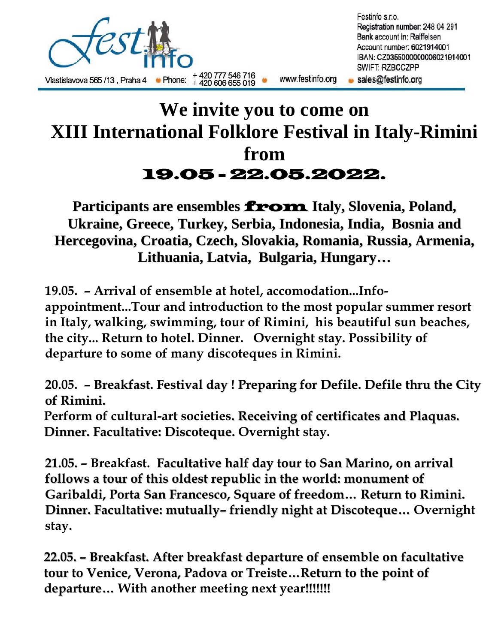

## **We invite you to come on XIII International Folklore Festival in Italy-Rimini from** 19.05 - 22.05.2022.

**Participants are ensembles** from **Italy, Slovenia, Poland, Ukraine, Greece, Turkey, Serbia, Indonesia, India, Bosnia and Hercegovina, Croatia, Czech, Slovakia, Romania, Russia, Armenia, Lithuania, Latvia, Bulgaria, Hungary…**

**19.05. – Arrival of ensemble at hotel, accomodation...Infoappointment...Tour and introduction to the most popular summer resort in Italy, walking, swimming, tour of Rimini, his beautiful sun beaches, the city... Return to hotel. Dinner. Overnight stay. Possibility of departure to some of many discoteques in Rimini.**

**20.05. – Breakfast. Festival day ! Preparing for Defile. Defile thru the City of Rimini.**

**Perform of cultural-art societies. Receiving of certificates and Plaquas. Dinner. Facultative: Discoteque. Overnight stay.**

**21.05. – Breakfast. Facultative half day tour to San Marino, on arrival follows a tour of this oldest republic in the world: monument of Garibaldi, Porta San Francesco, Square of freedom… Return to Rimini. Dinner. Facultative: mutually– friendly night at Discoteque… Overnight stay.**

**22.05. – Breakfast. After breakfast departure of ensemble on facultative tour to Venice, Verona, Padova or Treiste…Return to the point of departure… With another meeting next year!!!!!!!**